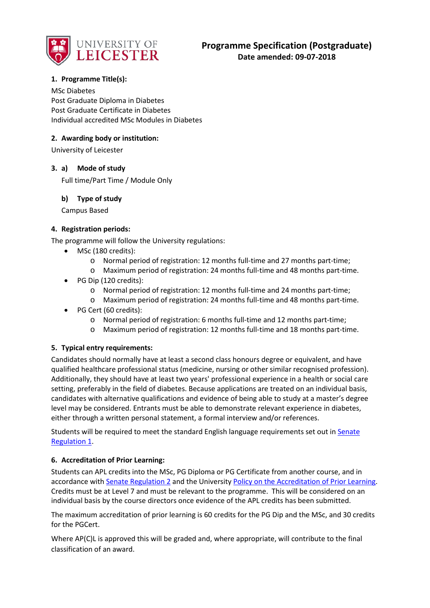

# **1. Programme Title(s):**

MSc Diabetes Post Graduate Diploma in Diabetes Post Graduate Certificate in Diabetes Individual accredited MSc Modules in Diabetes

### **2. Awarding body or institution:**

University of Leicester

### **3. a) Mode of study**

Full time/Part Time / Module Only

### **b) Type of study**

Campus Based

### **4. Registration periods:**

The programme will follow the University regulations:

- MSc (180 credits):
	- o Normal period of registration: 12 months full-time and 27 months part-time;
	- o Maximum period of registration: 24 months full-time and 48 months part-time.
- PG Dip (120 credits):
	- o Normal period of registration: 12 months full-time and 24 months part-time;
	- o Maximum period of registration: 24 months full-time and 48 months part-time.
- PG Cert (60 credits):
	- o Normal period of registration: 6 months full-time and 12 months part-time;
	- o Maximum period of registration: 12 months full-time and 18 months part-time.

### **5. Typical entry requirements:**

Candidates should normally have at least a second class honours degree or equivalent, and have qualified healthcare professional status (medicine, nursing or other similar recognised profession). Additionally, they should have at least two years' professional experience in a health or social care setting, preferably in the field of diabetes. Because applications are treated on an individual basis, candidates with alternative qualifications and evidence of being able to study at a master's degree level may be considered. Entrants must be able to demonstrate relevant experience in diabetes, either through a written personal statement, a formal interview and/or references.

Students will be required to meet the standard English language requirements set out i[n Senate](http://www2.le.ac.uk/offices/sas2/regulations/documents/senatereg1-entry.pdf)  [Regulation 1.](http://www2.le.ac.uk/offices/sas2/regulations/documents/senatereg1-entry.pdf)

### **6. Accreditation of Prior Learning:**

Students can APL credits into the MSc, PG Diploma or PG Certificate from another course, and in accordance with [Senate Regulation 2](http://www.le.ac.uk/senate-regulation2) and the University [Policy on the Accreditation of Prior Learning.](http://www2.le.ac.uk/offices/sas2/quality/accreditation-of-prior-learning) Credits must be at Level 7 and must be relevant to the programme. This will be considered on an individual basis by the course directors once evidence of the APL credits has been submitted.

The maximum accreditation of prior learning is 60 credits for the PG Dip and the MSc, and 30 credits for the PGCert.

Where AP(C)L is approved this will be graded and, where appropriate, will contribute to the final classification of an award.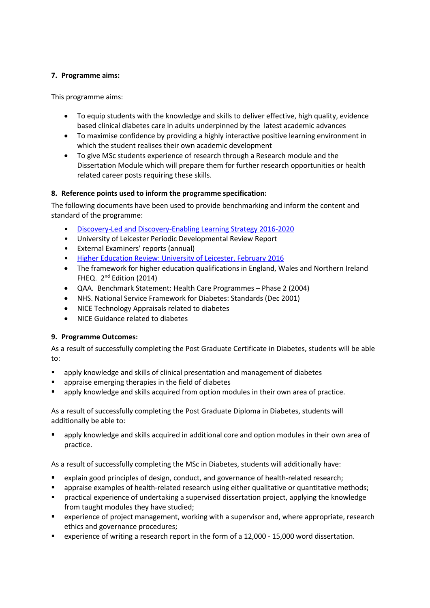# **7. Programme aims:**

This programme aims:

- To equip students with the knowledge and skills to deliver effective, high quality, evidence based clinical diabetes care in adults underpinned by the latest academic advances
- To maximise confidence by providing a highly interactive positive learning environment in which the student realises their own academic development
- To give MSc students experience of research through a Research module and the Dissertation Module which will prepare them for further research opportunities or health related career posts requiring these skills.

# **8. Reference points used to inform the programme specification:**

The following documents have been used to provide benchmarking and inform the content and standard of the programme:

- [Discovery-Led and Discovery-Enabling Learning Strategy 2016-2020](https://www2.le.ac.uk/offices/sas2/quality/learnteach#discovery-led-and-discovery-enabling-learning-strategy)
- University of Leicester Periodic Developmental Review Report
- External Examiners' reports (annual)
- [Higher Education Review: University of Leicester, February 2016](http://www.qaa.ac.uk/en/ReviewsAndReports/Documents/University%20of%20Leicester/University-of-Leicester-HER-16.pdf)
- The framework for higher education qualifications in England, Wales and Northern Ireland FHEQ. 2<sup>nd</sup> Edition (2014)
- QAA. Benchmark Statement: Health Care Programmes Phase 2 (2004)
- NHS. National Service Framework for Diabetes: Standards (Dec 2001)
- NICE Technology Appraisals related to diabetes
- NICE Guidance related to diabetes

# **9. Programme Outcomes:**

As a result of successfully completing the Post Graduate Certificate in Diabetes, students will be able to:

- apply knowledge and skills of clinical presentation and management of diabetes
- appraise emerging therapies in the field of diabetes
- apply knowledge and skills acquired from option modules in their own area of practice.

As a result of successfully completing the Post Graduate Diploma in Diabetes, students will additionally be able to:

 apply knowledge and skills acquired in additional core and option modules in their own area of practice.

As a result of successfully completing the MSc in Diabetes, students will additionally have:

- explain good principles of design, conduct, and governance of health-related research;
- appraise examples of health-related research using either qualitative or quantitative methods;
- **P** practical experience of undertaking a supervised dissertation project, applying the knowledge from taught modules they have studied;
- experience of project management, working with a supervisor and, where appropriate, research ethics and governance procedures;
- experience of writing a research report in the form of a 12,000 15,000 word dissertation.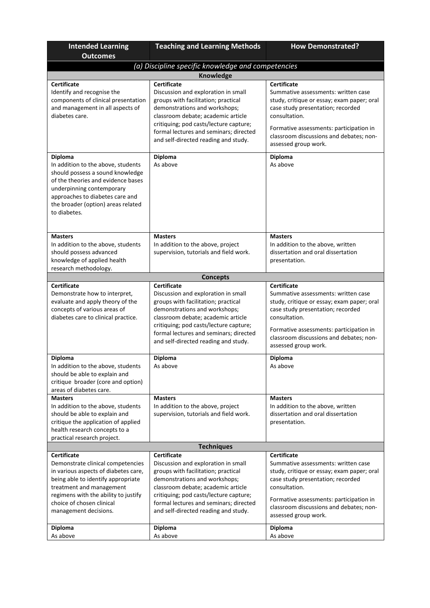| <b>Intended Learning</b>                                                                                                                                                                                                                                        | <b>Teaching and Learning Methods</b>                                                                                                                                                                                                                                                                             | <b>How Demonstrated?</b>                                                                                                                                                                                                                                                    |  |  |
|-----------------------------------------------------------------------------------------------------------------------------------------------------------------------------------------------------------------------------------------------------------------|------------------------------------------------------------------------------------------------------------------------------------------------------------------------------------------------------------------------------------------------------------------------------------------------------------------|-----------------------------------------------------------------------------------------------------------------------------------------------------------------------------------------------------------------------------------------------------------------------------|--|--|
| <b>Outcomes</b>                                                                                                                                                                                                                                                 |                                                                                                                                                                                                                                                                                                                  |                                                                                                                                                                                                                                                                             |  |  |
|                                                                                                                                                                                                                                                                 | (a) Discipline specific knowledge and competencies                                                                                                                                                                                                                                                               |                                                                                                                                                                                                                                                                             |  |  |
| <b>Certificate</b><br>Identify and recognise the<br>components of clinical presentation<br>and management in all aspects of<br>diabetes care.                                                                                                                   | Knowledge<br><b>Certificate</b><br>Discussion and exploration in small<br>groups with facilitation; practical<br>demonstrations and workshops;<br>classroom debate; academic article<br>critiquing; pod casts/lecture capture;<br>formal lectures and seminars; directed<br>and self-directed reading and study. | <b>Certificate</b><br>Summative assessments: written case<br>study, critique or essay; exam paper; oral<br>case study presentation; recorded<br>consultation.<br>Formative assessments: participation in<br>classroom discussions and debates; non-<br>assessed group work. |  |  |
| <b>Diploma</b><br>In addition to the above, students<br>should possess a sound knowledge<br>of the theories and evidence bases<br>underpinning contemporary<br>approaches to diabetes care and<br>the broader (option) areas related<br>to diabetes.            | Diploma<br>As above                                                                                                                                                                                                                                                                                              | <b>Diploma</b><br>As above                                                                                                                                                                                                                                                  |  |  |
| <b>Masters</b><br>In addition to the above, students<br>should possess advanced<br>knowledge of applied health<br>research methodology.                                                                                                                         | <b>Masters</b><br>In addition to the above, project<br>supervision, tutorials and field work.                                                                                                                                                                                                                    | <b>Masters</b><br>In addition to the above, written<br>dissertation and oral dissertation<br>presentation.                                                                                                                                                                  |  |  |
|                                                                                                                                                                                                                                                                 | <b>Concepts</b>                                                                                                                                                                                                                                                                                                  |                                                                                                                                                                                                                                                                             |  |  |
| <b>Certificate</b><br>Demonstrate how to interpret,<br>evaluate and apply theory of the<br>concepts of various areas of<br>diabetes care to clinical practice.                                                                                                  | <b>Certificate</b><br>Discussion and exploration in small<br>groups with facilitation; practical<br>demonstrations and workshops;<br>classroom debate; academic article<br>critiquing; pod casts/lecture capture;<br>formal lectures and seminars; directed<br>and self-directed reading and study.              | <b>Certificate</b><br>Summative assessments: written case<br>study, critique or essay; exam paper; oral<br>case study presentation; recorded<br>consultation.<br>Formative assessments: participation in<br>classroom discussions and debates; non-<br>assessed group work. |  |  |
| <b>Diploma</b><br>In addition to the above, students<br>should be able to explain and<br>critique broader (core and option)<br>areas of diabetes care.                                                                                                          | <b>Diploma</b><br>As above                                                                                                                                                                                                                                                                                       | <b>Diploma</b><br>As above                                                                                                                                                                                                                                                  |  |  |
| <b>Masters</b><br>In addition to the above, students<br>should be able to explain and<br>critique the application of applied<br>health research concepts to a<br>practical research project.                                                                    | <b>Masters</b><br>In addition to the above, project<br>supervision, tutorials and field work.                                                                                                                                                                                                                    | <b>Masters</b><br>In addition to the above, written<br>dissertation and oral dissertation<br>presentation.                                                                                                                                                                  |  |  |
|                                                                                                                                                                                                                                                                 | <b>Techniques</b>                                                                                                                                                                                                                                                                                                |                                                                                                                                                                                                                                                                             |  |  |
| <b>Certificate</b><br>Demonstrate clinical competencies<br>in various aspects of diabetes care,<br>being able to identify appropriate<br>treatment and management<br>regimens with the ability to justify<br>choice of chosen clinical<br>management decisions. | <b>Certificate</b><br>Discussion and exploration in small<br>groups with facilitation; practical<br>demonstrations and workshops;<br>classroom debate; academic article<br>critiquing; pod casts/lecture capture;<br>formal lectures and seminars; directed<br>and self-directed reading and study.              | <b>Certificate</b><br>Summative assessments: written case<br>study, critique or essay; exam paper; oral<br>case study presentation; recorded<br>consultation.<br>Formative assessments: participation in<br>classroom discussions and debates; non-<br>assessed group work. |  |  |
| <b>Diploma</b><br>As above                                                                                                                                                                                                                                      | <b>Diploma</b><br>As above                                                                                                                                                                                                                                                                                       | <b>Diploma</b><br>As above                                                                                                                                                                                                                                                  |  |  |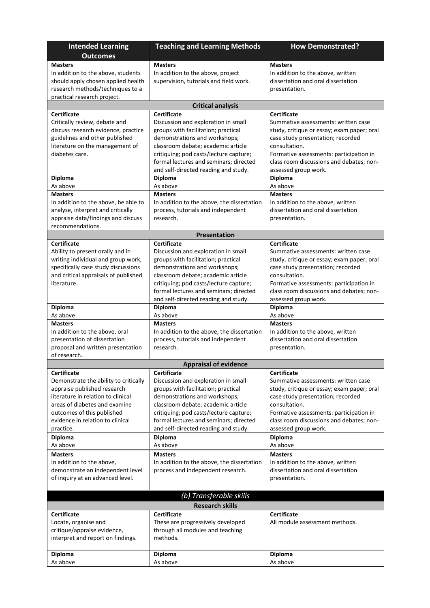| <b>Intended Learning</b><br><b>Outcomes</b>                            | <b>Teaching and Learning Methods</b>                                 | <b>How Demonstrated?</b>                                                        |
|------------------------------------------------------------------------|----------------------------------------------------------------------|---------------------------------------------------------------------------------|
| <b>Masters</b>                                                         | <b>Masters</b>                                                       | <b>Masters</b>                                                                  |
| In addition to the above, students                                     | In addition to the above, project                                    | In addition to the above, written                                               |
| should apply chosen applied health                                     | supervision, tutorials and field work.                               | dissertation and oral dissertation                                              |
| research methods/techniques to a                                       |                                                                      | presentation.                                                                   |
| practical research project.                                            |                                                                      |                                                                                 |
|                                                                        | <b>Critical analysis</b>                                             |                                                                                 |
| <b>Certificate</b>                                                     | <b>Certificate</b>                                                   | Certificate                                                                     |
| Critically review, debate and                                          | Discussion and exploration in small                                  | Summative assessments: written case                                             |
| discuss research evidence, practice                                    | groups with facilitation; practical                                  | study, critique or essay; exam paper; oral                                      |
| guidelines and other published                                         | demonstrations and workshops;                                        | case study presentation; recorded                                               |
| literature on the management of                                        | classroom debate; academic article                                   | consultation.                                                                   |
| diabetes care.                                                         | critiquing; pod casts/lecture capture;                               | Formative assessments: participation in                                         |
|                                                                        | formal lectures and seminars; directed                               | class room discussions and debates; non-                                        |
|                                                                        | and self-directed reading and study.                                 | assessed group work.                                                            |
| <b>Diploma</b>                                                         | <b>Diploma</b>                                                       | Diploma                                                                         |
| As above                                                               | As above                                                             | As above                                                                        |
| <b>Masters</b>                                                         | <b>Masters</b>                                                       | <b>Masters</b>                                                                  |
| In addition to the above, be able to                                   | In addition to the above, the dissertation                           | In addition to the above, written                                               |
| analyse, interpret and critically                                      | process, tutorials and independent                                   | dissertation and oral dissertation                                              |
| appraise data/findings and discuss                                     | research.                                                            | presentation.                                                                   |
| recommendations.                                                       |                                                                      |                                                                                 |
|                                                                        | <b>Presentation</b>                                                  |                                                                                 |
| <b>Certificate</b>                                                     | <b>Certificate</b>                                                   | <b>Certificate</b>                                                              |
| Ability to present orally and in<br>writing individual and group work, | Discussion and exploration in small                                  | Summative assessments: written case                                             |
| specifically case study discussions                                    | groups with facilitation; practical<br>demonstrations and workshops; | study, critique or essay; exam paper; oral<br>case study presentation; recorded |
| and critical appraisals of published                                   | classroom debate; academic article                                   | consultation.                                                                   |
| literature.                                                            | critiquing; pod casts/lecture capture;                               | Formative assessments: participation in                                         |
|                                                                        | formal lectures and seminars; directed                               | class room discussions and debates; non-                                        |
|                                                                        | and self-directed reading and study.                                 | assessed group work.                                                            |
| <b>Diploma</b>                                                         | <b>Diploma</b>                                                       | <b>Diploma</b>                                                                  |
| As above                                                               | As above                                                             | As above                                                                        |
| <b>Masters</b>                                                         | <b>Masters</b>                                                       | <b>Masters</b>                                                                  |
| In addition to the above, oral                                         | In addition to the above, the dissertation                           | In addition to the above, written                                               |
| presentation of dissertation                                           | process, tutorials and independent                                   | dissertation and oral dissertation                                              |
| proposal and written presentation                                      | research.                                                            | presentation.                                                                   |
| of research.                                                           |                                                                      |                                                                                 |
|                                                                        | <b>Appraisal of evidence</b>                                         |                                                                                 |
| <b>Certificate</b>                                                     | <b>Certificate</b>                                                   | <b>Certificate</b>                                                              |
| Demonstrate the ability to critically                                  | Discussion and exploration in small                                  | Summative assessments: written case                                             |
| appraise published research<br>literature in relation to clinical      | groups with facilitation; practical<br>demonstrations and workshops; | study, critique or essay; exam paper; oral<br>case study presentation; recorded |
| areas of diabetes and examine                                          | classroom debate; academic article                                   | consultation.                                                                   |
| outcomes of this published                                             | critiquing; pod casts/lecture capture;                               | Formative assessments: participation in                                         |
| evidence in relation to clinical                                       | formal lectures and seminars; directed                               | class room discussions and debates; non-                                        |
| practice.                                                              | and self-directed reading and study.                                 | assessed group work.                                                            |
| <b>Diploma</b>                                                         | <b>Diploma</b>                                                       | Diploma                                                                         |
| As above                                                               | As above                                                             | As above                                                                        |
| <b>Masters</b>                                                         | <b>Masters</b>                                                       | <b>Masters</b>                                                                  |
| In addition to the above,                                              | In addition to the above, the dissertation                           | In addition to the above, written                                               |
| demonstrate an independent level                                       | process and independent research.                                    | dissertation and oral dissertation                                              |
| of inquiry at an advanced level.                                       |                                                                      | presentation.                                                                   |
|                                                                        |                                                                      |                                                                                 |
| (b) Transferable skills<br><b>Research skills</b>                      |                                                                      |                                                                                 |
| <b>Certificate</b><br><b>Certificate</b><br><b>Certificate</b>         |                                                                      |                                                                                 |
| Locate, organise and                                                   | These are progressively developed                                    | All module assessment methods.                                                  |
| critique/appraise evidence,                                            | through all modules and teaching                                     |                                                                                 |
| interpret and report on findings.                                      | methods.                                                             |                                                                                 |
|                                                                        |                                                                      |                                                                                 |
| <b>Diploma</b>                                                         | Diploma                                                              | <b>Diploma</b>                                                                  |
| As above                                                               | As above                                                             | As above                                                                        |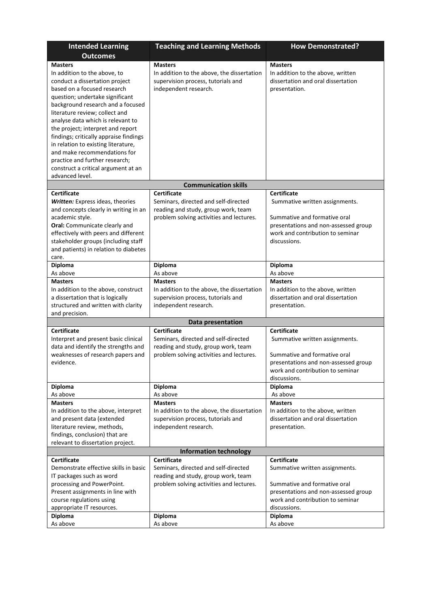| <b>Intended Learning</b>                                                     | <b>Teaching and Learning Methods</b>       | <b>How Demonstrated?</b>                                                |  |
|------------------------------------------------------------------------------|--------------------------------------------|-------------------------------------------------------------------------|--|
| <b>Outcomes</b>                                                              |                                            |                                                                         |  |
| <b>Masters</b>                                                               | <b>Masters</b>                             | <b>Masters</b>                                                          |  |
| In addition to the above, to                                                 | In addition to the above, the dissertation | In addition to the above, written                                       |  |
| conduct a dissertation project                                               | supervision process, tutorials and         | dissertation and oral dissertation                                      |  |
| based on a focused research                                                  | independent research.                      | presentation.                                                           |  |
| question; undertake significant                                              |                                            |                                                                         |  |
| background research and a focused                                            |                                            |                                                                         |  |
| literature review; collect and                                               |                                            |                                                                         |  |
| analyse data which is relevant to                                            |                                            |                                                                         |  |
| the project; interpret and report                                            |                                            |                                                                         |  |
| findings; critically appraise findings                                       |                                            |                                                                         |  |
| in relation to existing literature,                                          |                                            |                                                                         |  |
| and make recommendations for                                                 |                                            |                                                                         |  |
| practice and further research;                                               |                                            |                                                                         |  |
| construct a critical argument at an                                          |                                            |                                                                         |  |
| advanced level.                                                              |                                            |                                                                         |  |
|                                                                              | <b>Communication skills</b>                |                                                                         |  |
| <b>Certificate</b>                                                           | <b>Certificate</b>                         | <b>Certificate</b>                                                      |  |
| Written: Express ideas, theories                                             | Seminars, directed and self-directed       | Summative written assignments.                                          |  |
| and concepts clearly in writing in an                                        | reading and study, group work, team        |                                                                         |  |
| academic style.                                                              | problem solving activities and lectures.   | Summative and formative oral                                            |  |
| Oral: Communicate clearly and                                                |                                            | presentations and non-assessed group                                    |  |
| effectively with peers and different                                         |                                            | work and contribution to seminar<br>discussions.                        |  |
| stakeholder groups (including staff<br>and patients) in relation to diabetes |                                            |                                                                         |  |
| care.                                                                        |                                            |                                                                         |  |
| <b>Diploma</b>                                                               | <b>Diploma</b>                             | <b>Diploma</b>                                                          |  |
| As above                                                                     | As above                                   | As above                                                                |  |
| <b>Masters</b>                                                               | <b>Masters</b>                             | <b>Masters</b>                                                          |  |
| In addition to the above, construct                                          | In addition to the above, the dissertation | In addition to the above, written                                       |  |
| a dissertation that is logically                                             | supervision process, tutorials and         | dissertation and oral dissertation                                      |  |
| structured and written with clarity                                          | independent research.                      | presentation.                                                           |  |
| and precision.                                                               |                                            |                                                                         |  |
|                                                                              | Data presentation                          |                                                                         |  |
| <b>Certificate</b>                                                           | <b>Certificate</b>                         | <b>Certificate</b>                                                      |  |
| Interpret and present basic clinical                                         | Seminars, directed and self-directed       | Summative written assignments.                                          |  |
| data and identify the strengths and                                          | reading and study, group work, team        |                                                                         |  |
| weaknesses of research papers and                                            | problem solving activities and lectures.   | Summative and formative oral                                            |  |
| evidence.                                                                    |                                            | presentations and non-assessed group                                    |  |
|                                                                              |                                            | work and contribution to seminar                                        |  |
|                                                                              |                                            | discussions.                                                            |  |
| Diploma                                                                      | Diploma                                    | <b>Diploma</b>                                                          |  |
| As above                                                                     | As above                                   | As above                                                                |  |
| <b>Masters</b>                                                               | <b>Masters</b>                             | <b>Masters</b>                                                          |  |
| In addition to the above, interpret                                          | In addition to the above, the dissertation | In addition to the above, written<br>dissertation and oral dissertation |  |
| and present data (extended                                                   | supervision process, tutorials and         | presentation.                                                           |  |
| literature review, methods,<br>findings, conclusion) that are                | independent research.                      |                                                                         |  |
| relevant to dissertation project.                                            |                                            |                                                                         |  |
| <b>Information technology</b>                                                |                                            |                                                                         |  |
| <b>Certificate</b>                                                           | Certificate                                | <b>Certificate</b>                                                      |  |
| Demonstrate effective skills in basic                                        | Seminars, directed and self-directed       | Summative written assignments.                                          |  |
| IT packages such as word                                                     | reading and study, group work, team        |                                                                         |  |
| processing and PowerPoint.                                                   | problem solving activities and lectures.   | Summative and formative oral                                            |  |
| Present assignments in line with                                             |                                            | presentations and non-assessed group                                    |  |
| course regulations using                                                     |                                            | work and contribution to seminar                                        |  |
| appropriate IT resources.                                                    |                                            | discussions.                                                            |  |
| <b>Diploma</b>                                                               | Diploma                                    | <b>Diploma</b>                                                          |  |
| As above                                                                     | As above                                   | As above                                                                |  |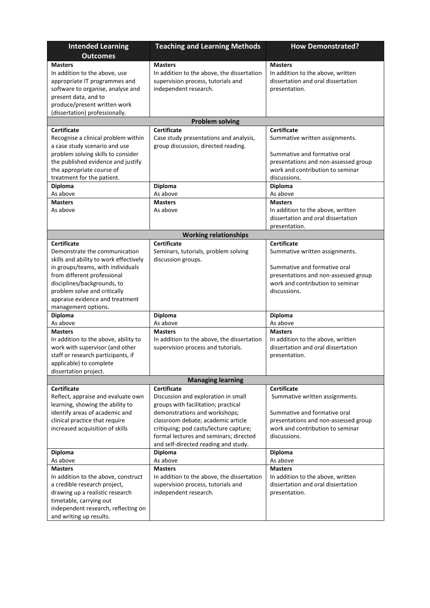| <b>Intended Learning</b><br><b>Outcomes</b>                          | <b>Teaching and Learning Methods</b>                         | <b>How Demonstrated?</b>                            |
|----------------------------------------------------------------------|--------------------------------------------------------------|-----------------------------------------------------|
| <b>Masters</b>                                                       | <b>Masters</b>                                               | <b>Masters</b>                                      |
| In addition to the above, use                                        | In addition to the above, the dissertation                   | In addition to the above, written                   |
| appropriate IT programmes and<br>software to organise, analyse and   | supervision process, tutorials and<br>independent research.  | dissertation and oral dissertation<br>presentation. |
| present data, and to                                                 |                                                              |                                                     |
| produce/present written work                                         |                                                              |                                                     |
| (dissertation) professionally.                                       |                                                              |                                                     |
|                                                                      | <b>Problem solving</b>                                       |                                                     |
| <b>Certificate</b>                                                   | <b>Certificate</b><br>Case study presentations and analysis, | <b>Certificate</b>                                  |
| Recognise a clinical problem within<br>a case study scenario and use | group discussion, directed reading.                          | Summative written assignments.                      |
| problem solving skills to consider                                   |                                                              | Summative and formative oral                        |
| the published evidence and justify                                   |                                                              | presentations and non-assessed group                |
| the appropriate course of                                            |                                                              | work and contribution to seminar                    |
| treatment for the patient.                                           |                                                              | discussions.                                        |
| Diploma                                                              | Diploma                                                      | <b>Diploma</b>                                      |
| As above                                                             | As above                                                     | As above                                            |
| <b>Masters</b>                                                       | <b>Masters</b>                                               | <b>Masters</b>                                      |
| As above                                                             | As above                                                     | In addition to the above, written                   |
|                                                                      |                                                              | dissertation and oral dissertation                  |
|                                                                      | <b>Working relationships</b>                                 | presentation.                                       |
| <b>Certificate</b>                                                   | <b>Certificate</b>                                           | <b>Certificate</b>                                  |
| Demonstrate the communication                                        | Seminars, tutorials, problem solving                         | Summative written assignments.                      |
| skills and ability to work effectively                               | discussion groups.                                           |                                                     |
| in groups/teams, with individuals                                    |                                                              | Summative and formative oral                        |
| from different professional                                          |                                                              | presentations and non-assessed group                |
| disciplines/backgrounds, to                                          |                                                              | work and contribution to seminar                    |
| problem solve and critically                                         |                                                              | discussions.                                        |
| appraise evidence and treatment                                      |                                                              |                                                     |
| management options.<br><b>Diploma</b>                                | <b>Diploma</b>                                               | <b>Diploma</b>                                      |
| As above                                                             | As above                                                     | As above                                            |
| <b>Masters</b>                                                       | <b>Masters</b>                                               | <b>Masters</b>                                      |
| In addition to the above, ability to                                 | In addition to the above, the dissertation                   | In addition to the above, written                   |
| work with supervisor (and other                                      | supervision process and tutorials.                           | dissertation and oral dissertation                  |
| staff or research participants, if                                   |                                                              | presentation.                                       |
| applicable) to complete                                              |                                                              |                                                     |
| dissertation project.                                                |                                                              |                                                     |
| <b>Certificate</b>                                                   | <b>Managing learning</b><br><b>Certificate</b>               | <b>Certificate</b>                                  |
| Reflect, appraise and evaluate own                                   | Discussion and exploration in small                          | Summative written assignments.                      |
| learning, showing the ability to                                     | groups with facilitation; practical                          |                                                     |
| identify areas of academic and                                       | demonstrations and workshops;                                | Summative and formative oral                        |
| clinical practice that require                                       | classroom debate; academic article                           | presentations and non-assessed group                |
| increased acquisition of skills                                      | critiquing; pod casts/lecture capture;                       | work and contribution to seminar                    |
|                                                                      | formal lectures and seminars; directed                       | discussions.                                        |
|                                                                      | and self-directed reading and study.                         |                                                     |
| Diploma<br>As above                                                  | <b>Diploma</b><br>As above                                   | <b>Diploma</b><br>As above                          |
| <b>Masters</b>                                                       | <b>Masters</b>                                               | <b>Masters</b>                                      |
| In addition to the above, construct                                  | In addition to the above, the dissertation                   | In addition to the above, written                   |
| a credible research project,                                         | supervision process, tutorials and                           | dissertation and oral dissertation                  |
| drawing up a realistic research                                      | independent research.                                        | presentation.                                       |
| timetable, carrying out                                              |                                                              |                                                     |
| independent research, reflecting on                                  |                                                              |                                                     |
| and writing up results.                                              |                                                              |                                                     |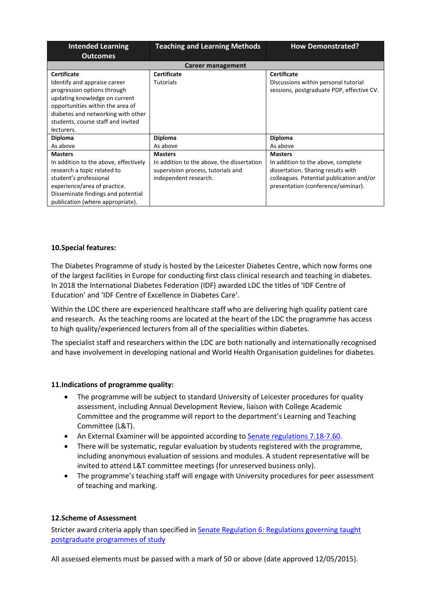| <b>Intended Learning</b>              | <b>Teaching and Learning Methods</b>       | <b>How Demonstrated?</b>                  |
|---------------------------------------|--------------------------------------------|-------------------------------------------|
| <b>Outcomes</b>                       |                                            |                                           |
|                                       | Career management                          |                                           |
| <b>Certificate</b>                    | <b>Certificate</b>                         | Certificate                               |
| Identify and appraise career          | <b>Tutorials</b>                           | Discussions within personal tutorial      |
| progression options through           |                                            | sessions, postgraduate PDP, effective CV. |
| updating knowledge on current         |                                            |                                           |
| opportunities within the area of      |                                            |                                           |
| diabetes and networking with other    |                                            |                                           |
| students, course staff and invited    |                                            |                                           |
| lecturers.                            |                                            |                                           |
| <b>Diploma</b>                        | <b>Diploma</b>                             | <b>Diploma</b>                            |
| As above                              | As above                                   | As above                                  |
| <b>Masters</b>                        | <b>Masters</b>                             | <b>Masters</b>                            |
| In addition to the above, effectively | In addition to the above, the dissertation | In addition to the above, complete        |
| research a topic related to           | supervision process, tutorials and         | dissertation. Sharing results with        |
| student's professional                | independent research.                      | colleagues. Potential publication and/or  |
| experience/area of practice.          |                                            | presentation (conference/seminar).        |
| Disseminate findings and potential    |                                            |                                           |
| publication (where appropriate).      |                                            |                                           |

### **10.Special features:**

The Diabetes Programme of study is hosted by the Leicester Diabetes Centre, which now forms one of the largest facilities in Europe for conducting first class clinical research and teaching in diabetes. In 2018 the International Diabetes Federation (IDF) awarded LDC the titles of 'IDF Centre of Education' and 'IDF Centre of Excellence in Diabetes Care'.

Within the LDC there are experienced healthcare staff who are delivering high quality patient care and research. As the teaching rooms are located at the heart of the LDC the programme has access to high quality/experienced lecturers from all of the specialities within diabetes.

The specialist staff and researchers within the LDC are both nationally and internationally recognised and have involvement in developing national and World Health Organisation guidelines for diabetes.

### **11.Indications of programme quality:**

- The programme will be subject to standard University of Leicester procedures for quality assessment, including Annual Development Review, liaison with College Academic Committee and the programme will report to the department's Learning and Teaching Committee (L&T).
- An External Examiner will be appointed according to **Senate regulations 7.18-7.60**.
- There will be systematic, regular evaluation by students registered with the programme, including anonymous evaluation of sessions and modules. A student representative will be invited to attend L&T committee meetings (for unreserved business only).
- The programme's teaching staff will engage with University procedures for peer assessment of teaching and marking.

### **12.Scheme of Assessment**

Stricter award criteria apply than specified in [Senate Regulation 6: Regulations governing taught](http://www.le.ac.uk/senate-regulation6)  [postgraduate programmes of study](http://www.le.ac.uk/senate-regulation6)

All assessed elements must be passed with a mark of 50 or above (date approved 12/05/2015).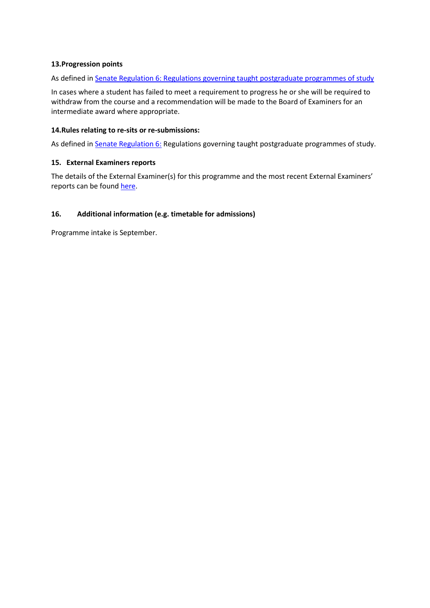### **13.Progression points**

As defined in [Senate Regulation 6: Regulations governing taught postgraduate programmes of study](http://www.le.ac.uk/senate-regulation6)

In cases where a student has failed to meet a requirement to progress he or she will be required to withdraw from the course and a recommendation will be made to the Board of Examiners for an intermediate award where appropriate.

### **14.Rules relating to re-sits or re-submissions:**

As defined in **Senate Regulation 6:** Regulations governing taught postgraduate programmes of study.

#### **15. External Examiners reports**

The details of the External Examiner(s) for this programme and the most recent External Examiners' reports can be found [here.](https://exampapers.le.ac.uk/xmlui/handle/123456789/190)

### **16. Additional information (e.g. timetable for admissions)**

Programme intake is September.